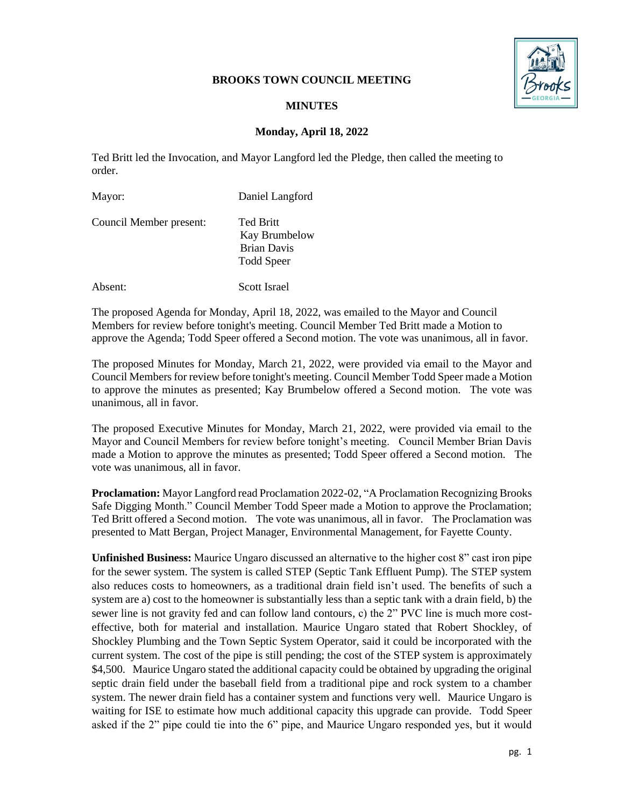## **BROOKS TOWN COUNCIL MEETING**



## **MINUTES**

# **Monday, April 18, 2022**

Ted Britt led the Invocation, and Mayor Langford led the Pledge, then called the meeting to order.

| Mayor:                  | Daniel Langford                                                              |
|-------------------------|------------------------------------------------------------------------------|
| Council Member present: | <b>Ted Britt</b><br>Kay Brumbelow<br><b>Brian Davis</b><br><b>Todd Speer</b> |
| Absent:                 | Scott Israel                                                                 |

The proposed Agenda for Monday, April 18, 2022, was emailed to the Mayor and Council Members for review before tonight's meeting. Council Member Ted Britt made a Motion to approve the Agenda; Todd Speer offered a Second motion. The vote was unanimous, all in favor.

The proposed Minutes for Monday, March 21, 2022, were provided via email to the Mayor and Council Members for review before tonight's meeting. Council Member Todd Speer made a Motion to approve the minutes as presented; Kay Brumbelow offered a Second motion. The vote was unanimous, all in favor.

The proposed Executive Minutes for Monday, March 21, 2022, were provided via email to the Mayor and Council Members for review before tonight's meeting. Council Member Brian Davis made a Motion to approve the minutes as presented; Todd Speer offered a Second motion. The vote was unanimous, all in favor.

**Proclamation:** Mayor Langford read Proclamation 2022-02, "A Proclamation Recognizing Brooks Safe Digging Month." Council Member Todd Speer made a Motion to approve the Proclamation; Ted Britt offered a Second motion. The vote was unanimous, all in favor. The Proclamation was presented to Matt Bergan, Project Manager, Environmental Management, for Fayette County.

**Unfinished Business:** Maurice Ungaro discussed an alternative to the higher cost 8" cast iron pipe for the sewer system. The system is called STEP (Septic Tank Effluent Pump). The STEP system also reduces costs to homeowners, as a traditional drain field isn't used. The benefits of such a system are a) cost to the homeowner is substantially less than a septic tank with a drain field, b) the sewer line is not gravity fed and can follow land contours, c) the 2" PVC line is much more costeffective, both for material and installation. Maurice Ungaro stated that Robert Shockley, of Shockley Plumbing and the Town Septic System Operator, said it could be incorporated with the current system. The cost of the pipe is still pending; the cost of the STEP system is approximately \$4,500. Maurice Ungaro stated the additional capacity could be obtained by upgrading the original septic drain field under the baseball field from a traditional pipe and rock system to a chamber system. The newer drain field has a container system and functions very well. Maurice Ungaro is waiting for ISE to estimate how much additional capacity this upgrade can provide. Todd Speer asked if the 2" pipe could tie into the 6" pipe, and Maurice Ungaro responded yes, but it would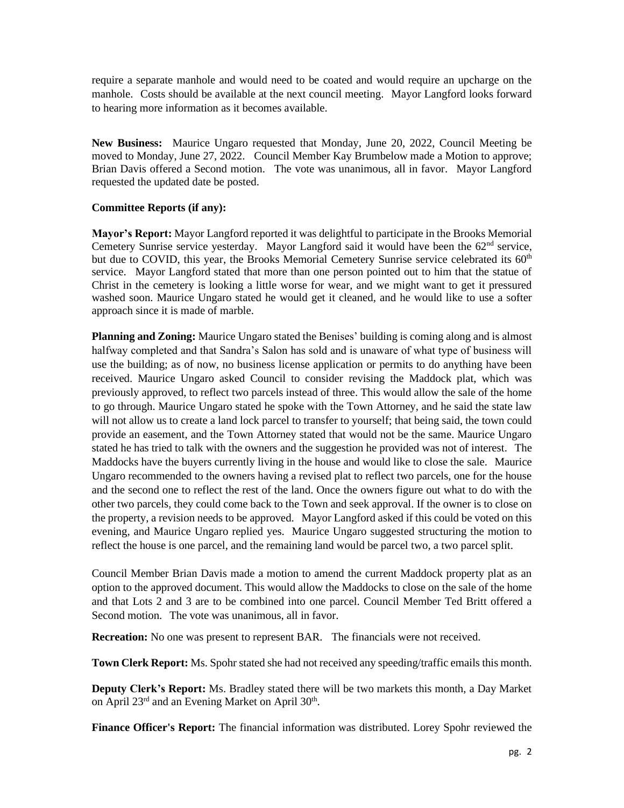require a separate manhole and would need to be coated and would require an upcharge on the manhole. Costs should be available at the next council meeting. Mayor Langford looks forward to hearing more information as it becomes available.

**New Business:** Maurice Ungaro requested that Monday, June 20, 2022, Council Meeting be moved to Monday, June 27, 2022. Council Member Kay Brumbelow made a Motion to approve; Brian Davis offered a Second motion. The vote was unanimous, all in favor. Mayor Langford requested the updated date be posted.

## **Committee Reports (if any):**

**Mayor's Report:** Mayor Langford reported it was delightful to participate in the Brooks Memorial Cemetery Sunrise service yesterday. Mayor Langford said it would have been the  $62<sup>nd</sup>$  service, but due to COVID, this year, the Brooks Memorial Cemetery Sunrise service celebrated its 60<sup>th</sup> service. Mayor Langford stated that more than one person pointed out to him that the statue of Christ in the cemetery is looking a little worse for wear, and we might want to get it pressured washed soon. Maurice Ungaro stated he would get it cleaned, and he would like to use a softer approach since it is made of marble.

**Planning and Zoning:** Maurice Ungaro stated the Benises' building is coming along and is almost halfway completed and that Sandra's Salon has sold and is unaware of what type of business will use the building; as of now, no business license application or permits to do anything have been received. Maurice Ungaro asked Council to consider revising the Maddock plat, which was previously approved, to reflect two parcels instead of three. This would allow the sale of the home to go through. Maurice Ungaro stated he spoke with the Town Attorney, and he said the state law will not allow us to create a land lock parcel to transfer to yourself; that being said, the town could provide an easement, and the Town Attorney stated that would not be the same. Maurice Ungaro stated he has tried to talk with the owners and the suggestion he provided was not of interest. The Maddocks have the buyers currently living in the house and would like to close the sale. Maurice Ungaro recommended to the owners having a revised plat to reflect two parcels, one for the house and the second one to reflect the rest of the land. Once the owners figure out what to do with the other two parcels, they could come back to the Town and seek approval. If the owner is to close on the property, a revision needs to be approved. Mayor Langford asked if this could be voted on this evening, and Maurice Ungaro replied yes. Maurice Ungaro suggested structuring the motion to reflect the house is one parcel, and the remaining land would be parcel two, a two parcel split.

Council Member Brian Davis made a motion to amend the current Maddock property plat as an option to the approved document. This would allow the Maddocks to close on the sale of the home and that Lots 2 and 3 are to be combined into one parcel. Council Member Ted Britt offered a Second motion. The vote was unanimous, all in favor.

**Recreation:** No one was present to represent BAR. The financials were not received.

**Town Clerk Report:** Ms. Spohr stated she had not received any speeding/traffic emails this month.

**Deputy Clerk's Report:** Ms. Bradley stated there will be two markets this month, a Day Market on April  $23<sup>rd</sup>$  and an Evening Market on April  $30<sup>th</sup>$ .

**Finance Officer's Report:** The financial information was distributed. Lorey Spohr reviewed the